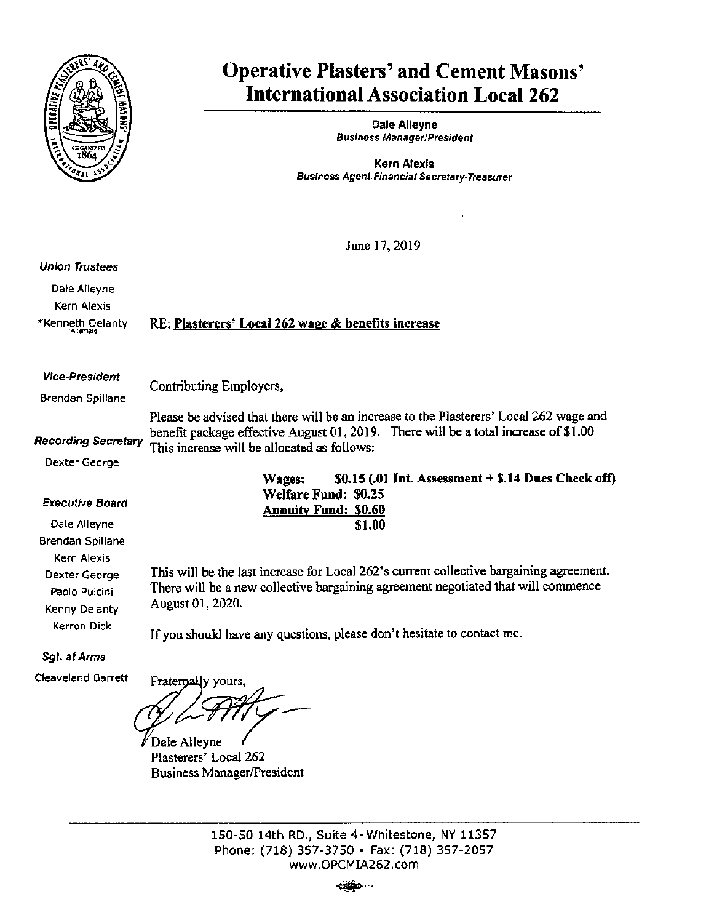

# Operative Plasters' and Cement Masons' International Association Local 262

Dale Alleyne Business Manager/President

Kern Alexis Business Agent;Financial Secretary-Treasurer

June 17,2019

## Union Trustees

Dale Alleyne Kern Alexis ♦Kenneth Delanty

"Alternate

RE: Plasterers' Local 262 wage & benefits increase

#### Vice-President

Brendan Spiliane

Contributing Employers,

Recording Secretary Please be advised that there will be an increase to the Plasterers' Local 262 wage and benefit package effective August 01, 2019. There will be a total increase of  $$1.00$ This increase will be allocated as follows:

Dexter George

# Executive Board

Dale Alleyne Brendan Spiliane Kern Alexis Dexter George Paolo Pulcini Kenny Delanty Kerron Dick

Wages:  $\qquad$  \$0.15 (.01 Int. Assessment + \$.14 Dues Check off) Welfare Fund: \$0.25 Annuity Fund; \$0.60 \$1.00

This will be the last increase for Local 262's current collective bargaining agreement. There will be a new collective bargaining agreement negotiated that will commence August 01,2020.

If you should have any questions, please don't hesitate to contact me.

Sgt. at Arms

Cleaveland Barrett

Fraternally yours,

 $\not\!\!$  Dale Alleyne Plasterers' Local 262 Business Manager/President

150-50 14th RD., Suite 4-Whitestone, NY 11357 Phone: (718) 357-3750 • Fax: (718) 357-2057 www.OPCMIA262.com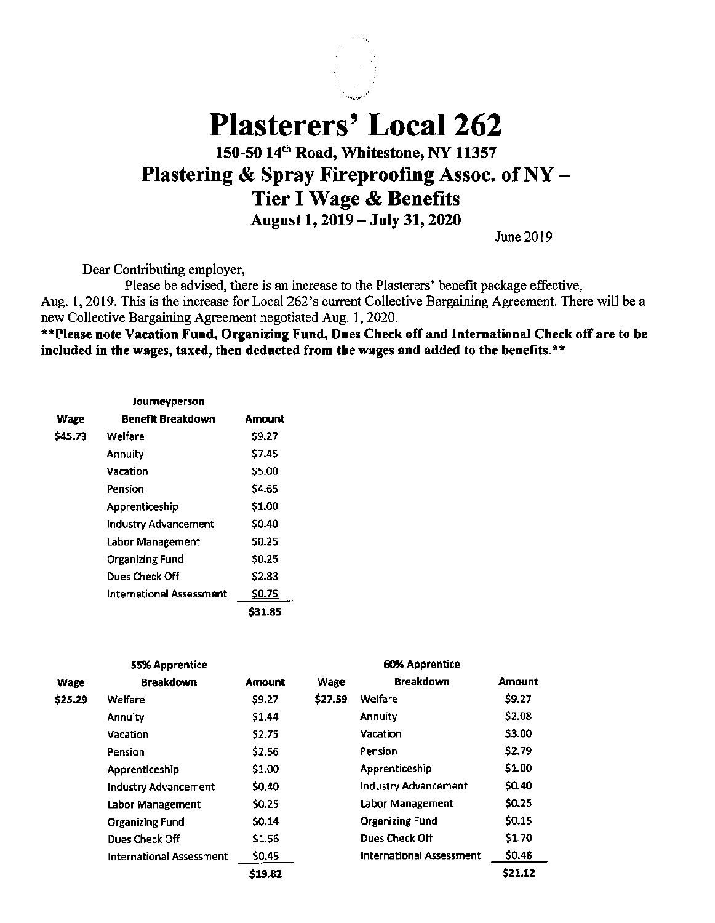

Plasterers' Local 262

# 150-50 14'" Road, Whitestone, NY 11357 Plastering & Spray Fireproofing Assoc. of NY - Tier I Wage & Benefits August 1,2019 — July 31,2020

June 2019

Dear Contributing employer.

Please be advised, there is an increase to the Plasterers' benefit package effective, Aug. 1, 2019. This is the increase for Local 262's current Collective Bargaining Agreement. There will be a new Collective Bargaining Agreement negotiated Aug. 1, 2020.

\*\*Please note Vacation Fund, Organizing Fund, Dues Check off and International Check off are to be included in the wages, taxed, then deducted from the wages and added to the benefits. $**$ 

|         | Journeyperson               |        |
|---------|-----------------------------|--------|
| Wage    | Benefit Breakdown           | Amount |
| \$45.73 | Welfare                     | \$9.27 |
|         | Annuity                     | \$7.45 |
|         | Vacation                    | \$5.00 |
|         | Pension                     | \$4.65 |
|         | Apprenticeship              | \$1.00 |
|         | <b>Industry Advancement</b> | \$0.40 |
|         | Labor Management            | \$0.25 |
|         | Organizing Fund             | \$0.25 |
|         | Dues Check Off              | \$2.83 |
|         | International Assessment    | \$0.75 |
|         |                             | S31.85 |

| 55% Apprentice |                                 |               | <b>60% Apprentice</b> |                                 |               |
|----------------|---------------------------------|---------------|-----------------------|---------------------------------|---------------|
| Wage           | <b>Breakdown</b>                | <b>Amount</b> | Wage                  | <b>Breakdown</b>                | <b>Amount</b> |
| \$25.29        | Welfare                         | \$9.27        | \$27.59               | Welfare                         | \$9.27        |
|                | <b>Annuity</b>                  | \$1.44        |                       | <b>Annuity</b>                  | \$2.08        |
|                | Vacation                        | \$2.75        |                       | Vacation                        | \$3.00        |
|                | Pension                         | \$2.56        |                       | Pension                         | \$2.79        |
|                | Apprenticeship                  | \$1.00        |                       | Apprenticeship                  | \$1.00        |
|                | <b>Industry Advancement</b>     | \$0.40        |                       | Industry Advancement            | \$0.40        |
|                | <b>Labor Management</b>         | \$0.25        |                       | Labor Management                | \$0.25        |
|                | <b>Organizing Fund</b>          | \$0.14        |                       | <b>Organizing Fund</b>          | \$0.15        |
|                | Dues Check Off                  | \$1.56        |                       | Dues Check Off                  | \$1.70        |
|                | <b>International Assessment</b> | \$0.45        |                       | <b>International Assessment</b> | SO.48         |
|                |                                 | \$19.82       |                       |                                 | \$21.12       |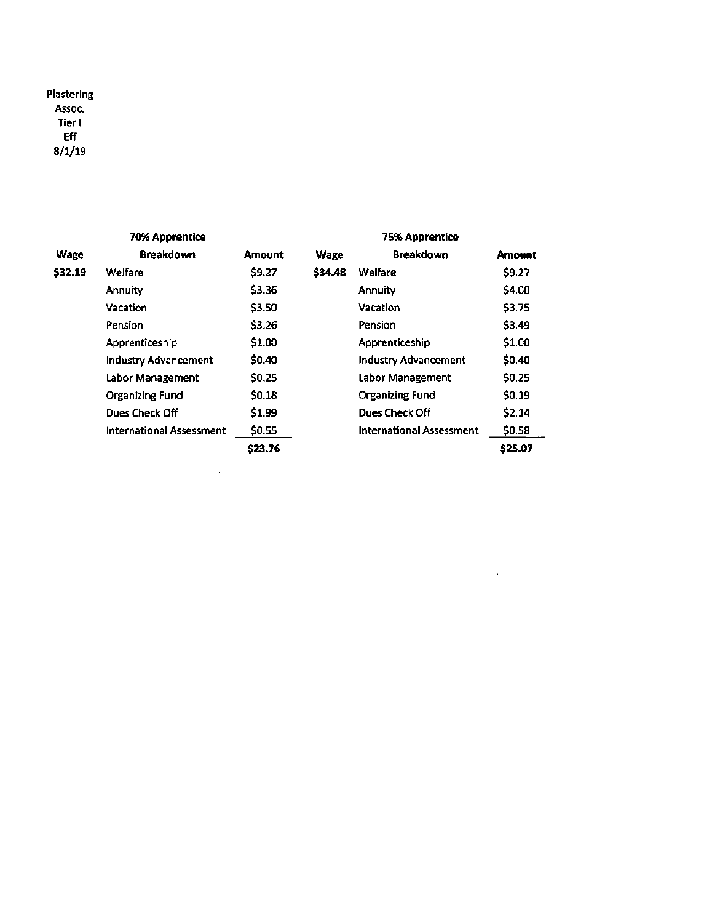Plastering Assoc. Tier I Eff 8/1/19

| <b>70% Apprentice</b> |                                 |         | <b>75% Apprentice</b> |                                 |         |
|-----------------------|---------------------------------|---------|-----------------------|---------------------------------|---------|
| Wage                  | <b>Breakdown</b>                | Amount  | <b>Wage</b>           | <b>Breakdown</b>                | Amount  |
| \$32.19               | <b>Welfare</b>                  | \$9.27  | \$34,48               | <b>Welfare</b>                  | \$9.27  |
|                       | <b>Annuity</b>                  | \$3.36  |                       | Annuity                         | \$4.00  |
|                       | Vacation                        | \$3.50  |                       | Vacation                        | \$3.75  |
|                       | Pension                         | \$3.26  |                       | Pension                         | \$3.49  |
|                       | Apprenticeship                  | \$1.00  |                       | Apprenticeship                  | \$1.00  |
|                       | <b>Industry Advancement</b>     | \$0.40  |                       | <b>Industry Advancement</b>     | \$0.40  |
|                       | Labor Management                | \$0.25  |                       | Labor Management                | \$0.25  |
|                       | <b>Organizing Fund</b>          | \$0.18  |                       | <b>Organizing Fund</b>          | \$0.19  |
|                       | Dues Check Off                  | \$1.99  |                       | <b>Dues Check Off</b>           | \$2.14  |
|                       | <b>International Assessment</b> | \$0.55  |                       | <b>International Assessment</b> | \$0.58  |
|                       |                                 | \$23.76 |                       |                                 | \$25.07 |

 $\sim 10^{11}$  km s  $^{-1}$ 

 $\mathcal{L}^{\text{max}}_{\text{max}}$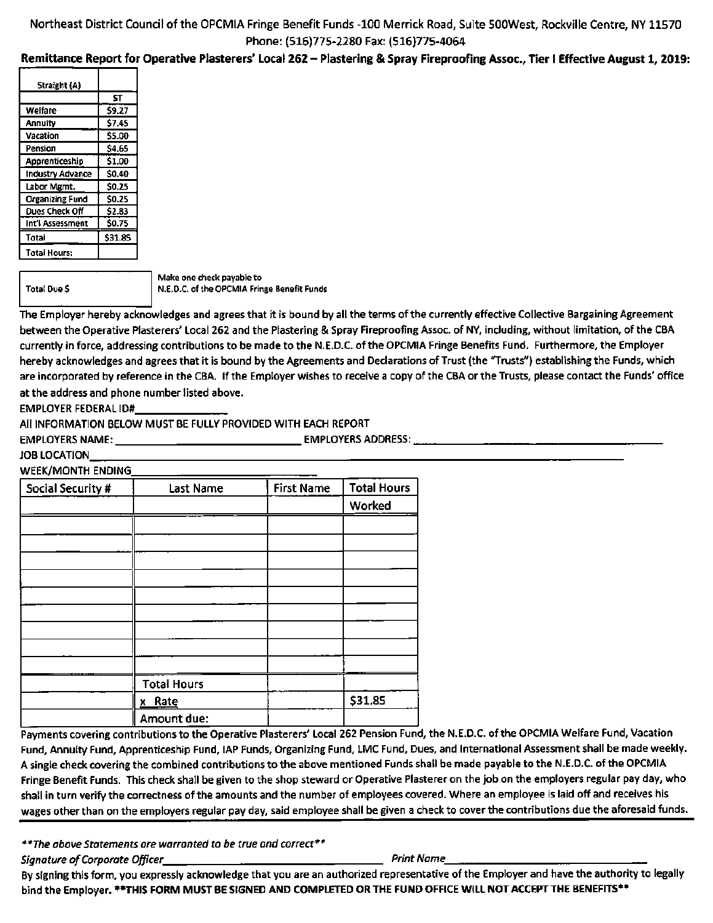# Northeast District Councii of the OPCMIA Fringe Benefit Funds -100 Merrick Road, Suite SOOWest, Rockville Centre, NY 11570 Phone: (516)775-2280 Fax: (516)775-4064

# Remittance Report for Operative Plasterers' Local 262 - Plastering & Spray Fireproofing Assoc., Tier I Effective August 1, 2019:

| Straight (A)           |         |
|------------------------|---------|
|                        | ŚΤ      |
| Welfare                | \$9.27  |
| Annuity                | \$7.45  |
| Vacation               | \$5.00  |
| Pension                | \$4.65  |
| Apprenticeship         | \$1.00  |
| Industry Advance       | \$0.40  |
| Labor Mgmt.            | \$0.25  |
| <b>Organizing Fund</b> | \$0.25  |
| Dues Check Off         | \$2.83  |
| Int'i Assessment       | \$0.75  |
| Total                  | \$31.85 |
| <b>Total Hours:</b>    |         |

Total Due \$

Make one check payable to N.E.D.C. of the OPCMIA Fringe Benefit Funds

The Employer hereby acknowledges and agrees that it is bound by all the terms of the currently effective Collective Bargaining Agreement between the Operative Plasterers' Local 262 and the Plastering & Spray Fireproofing Assoc. of NY, including, without limitation, of the CBA currently in force, addressing contributions to be made to the N.E.D.C. of the OPCMIA Fringe Benefits Fund. Furthermore, the Employer hereby acknowledges and agrees that it is bound by the Agreements and Declarations of Trust (the "Trusts") establishing the Funds, which are incorporated by reference in the CBA. If the Employer wishes to receive a copy of the CBA or the Trusts, please contact the Funds' office at the address and phone number listed above.

EMPLOYER FEDERAL ID#

All INFORMATION BELOW MUST BE FULLY PROVIDED WITH EACH REPORT

EMPLOYERS NAME: EMPLOYERS ADDRESS:

JOB LOCATION

WEEK/MONTH ENDING

| Social Security # | Last Name          | <b>First Name</b> | <b>Total Hours</b> |
|-------------------|--------------------|-------------------|--------------------|
|                   |                    |                   | Worked             |
|                   |                    |                   |                    |
|                   |                    |                   |                    |
|                   |                    |                   |                    |
|                   |                    |                   |                    |
|                   |                    |                   |                    |
|                   |                    |                   |                    |
|                   |                    |                   |                    |
|                   |                    |                   |                    |
|                   |                    |                   |                    |
|                   | <b>Total Hours</b> |                   |                    |
|                   | x Rate             |                   | \$31.85            |
|                   | Amount due:        |                   |                    |

Payments covering contributions to the Operative Plasterers' Local 262 Pension Fund, the N.E.D.C. of the OPCMIA Welfare Fund, Vacation Fund, Annuity Fund, Apprenticeship Fund, lAP Funds, Organizing Fund, LMC Fund, Dues, and International Assessment shall be made weekly. A single check covering the combined contributions to the above mentioned Funds shall be made payable to the N.E.D.C. of the OPCMIA Fringe Benefit Funds. This check shall be given to the shop steward or Operative Plasterer on the job on the employers regular pay day, who shall in turn verify the correctness of the amounts and the number of employees covered. Where an employee is laid off and receives his wages other than on the employers regular pay day, said employee shall be given a check to cover the contributions due the aforesaid funds.

\*\*The above Statements are warranted to be true and correct\*\*

Signature of Corporate Officer Print Name

By signing this form, you expressly acknowledge that you are an authorized representative of the Employer and have the authority to legally bind the Employer. \*\*THIS FORM MUST BE SIGNED AND COMPLETED OR THE FUND OFFICE WILL NOT ACCEPT THE BENEFITS\*\*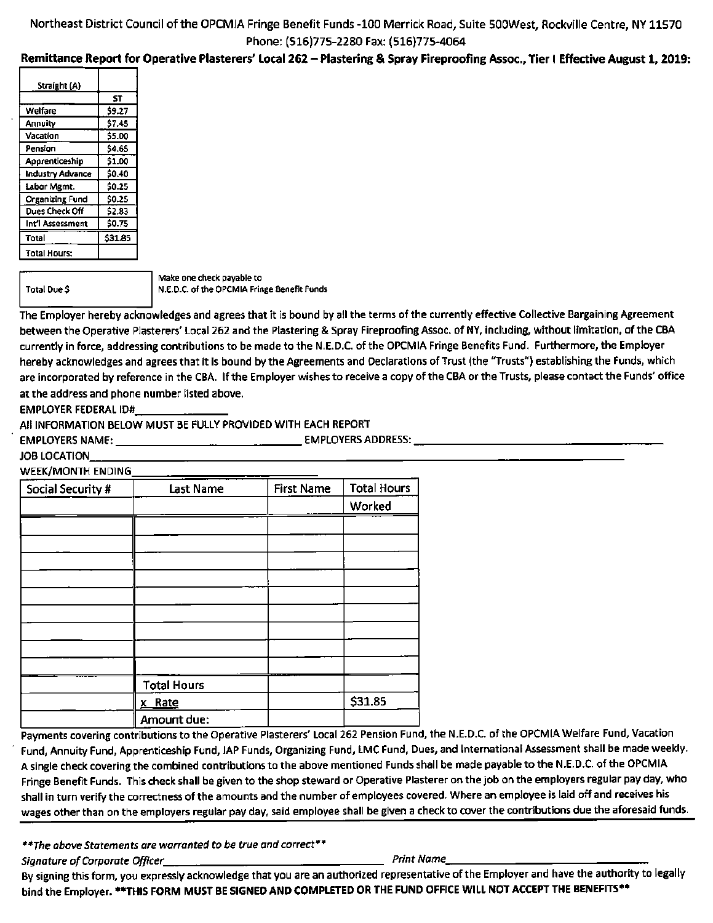# Northeast District Council of the OPCMIA Fringe Benefit Funds -100 Merrick Road, Suite SOOWest, Rockviile Centre, NY 11570 Phone: (516)775-2280 Fax: (516)775-4064

# Remittance Report for Operative Plasterers' Local 262 - Plastering & Spray Fireproofing Assoc., Tier I Effective August 1,2019:

| Straight (A)           |         |
|------------------------|---------|
|                        | ST      |
| Welfare                | \$9.27  |
| Annuity                | \$7.45  |
| Vacation               | \$5.00  |
| Pension                | \$4.65  |
| Apprenticeship         | \$1.00  |
| Industry Advance       | \$0.40  |
| Labor Mgmt.            | \$0.25  |
| <b>Organizing Fund</b> | \$0.25  |
| Dues Check Off         | \$2.83  |
| Int'i Assessment       | \$0.75  |
| Total                  | \$31.85 |
| <b>Total Hours:</b>    |         |

Total Due \$

Make one check payable to N.E.D.C. of the OPCMIA Fringe Benefit Funds

The Employer hereby acknowledges and agrees that it is bound by all the terms of the currently effective Collective Bargaining Agreement between the Operative Plasterers' Local 262 and the Plastering & Spray Fireproofing Assoc. of NY, including, without limitation, of the CBA currently in force, addressing contributions to be made to the N.E.D.C. of the OPCMIA Fringe Benefits Fund. Furthermore, the Employer hereby acknowledges and agrees that it is bound by the Agreements and Declarations of Trust (the "Trusts") establishing the Funds, which are incorporated by reference in the CBA. If the Employer wishes to receive a copy of the CBA or the Trusts, please contact the Funds' office at the address and phone number listed above.

EMPLOYER FEDERAL ID#

All INFORMATION BELOW MUST BE FULLY PROVIDED WITH EACH REPORT

EMPLOYERS NAME: EMPLOYERS ADDRESS:

JOB LOCATION

#### **WEEK/MONTH ENDING**

| Social Security # | Last Name          | <b>First Name</b> | <b>Total Hours</b> |
|-------------------|--------------------|-------------------|--------------------|
|                   |                    |                   | Worked             |
|                   |                    |                   |                    |
|                   |                    |                   |                    |
|                   |                    |                   |                    |
|                   |                    |                   |                    |
|                   |                    |                   |                    |
|                   |                    |                   |                    |
|                   |                    |                   |                    |
|                   |                    |                   |                    |
|                   |                    |                   |                    |
|                   | <b>Total Hours</b> |                   |                    |
|                   | x Rate             |                   | \$31.85            |
|                   | Amount due:        |                   |                    |

Payments covering contributions to the Operative Plasterers' Local 262 Pension Fund, the N.E.D.C. of the OPCMIA Welfare Fund, Vacation Fund, Annuity Fund, Apprenticeship Fund, lAP Funds, Organizing Fund, LMC Fund, Dues, and International Assessment shall be made weekly. A single check covering the combined contributions to the above mentioned Funds shall be made payable to the N.E.D.C. of the OPCMIA Fringe Benefit Funds. This check shall be given to the shop steward or Operative Plasterer on the job on the employers regular pay day, who shall in turn verify the correctness of the amounts and the number of employees covered. Where an employee is laid off and receives his wages other than on the employers regular pay day, said employee shall be given a check to cover the contributions due the aforesaid funds.

\*\*The above Statements are warranted to be true and correct\*\*

Signature of Corporate Ofpcer\_ Print Name

By signing this form, you expressly acknowledge that you are an authorized representative of the Employer and have the authority to legally bind the Employer. \*\*THIS FORM MUST BE SIGNED AND COMPLETED OR THE FUND OFFICE WILL NOT ACCEPT THE BENEFITS\*\*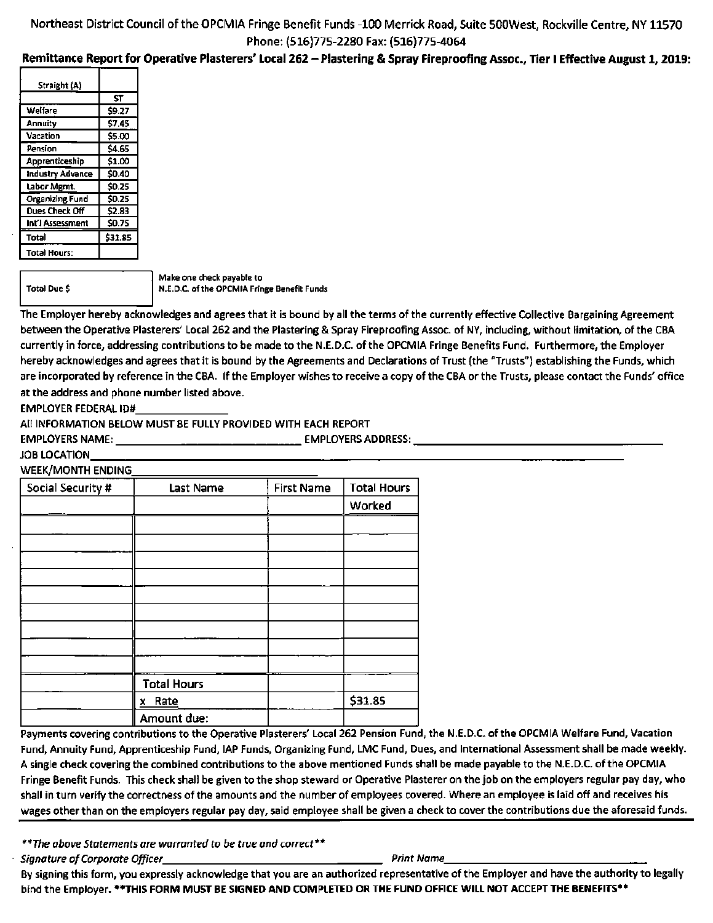# Remittance Report for Operative Plasterers' Local 262 - Plastering & Spray Fireproofing Assoc., Tier I Effective August 1,2019:

| Straight (A)           |         |
|------------------------|---------|
|                        | ST      |
| Welfare                | \$9.27  |
| Annuity                | \$7.45  |
| Vacation               | \$5.00  |
| Pension                | \$4.65  |
| Apprenticeship         | \$1.00  |
| Industry Advance       | \$0.40  |
| Labor Mgmt.            | \$0.25  |
| <b>Organizing Fund</b> | \$0.25  |
| Dues Check Off         | \$2.83  |
| Int'l Assessment       | \$0.75  |
| Total                  | \$31.85 |
| Total Hours:           |         |

Total Due \$

Make one check payable to N.E.D.C. of the OPCMIA Fringe Benefit Funds

The Employer hereby acknowledges and agrees that it is bound by all the terms of the currently effective Collective Bargaining Agreement between the Operative Plasterers' Local 262 and the Plastering & Spray Fireproofing Assoc. of NY, including, without limitation, of the CBA currently in force, addressing contributions to be made to the N.E.D.C. of the OPCMIA Fringe Benefits Fund. Furthermore, the Employer hereby acknowledges and agrees that it is bound by the Agreements and Declarations of Trust (the "Trusts") establishing the Funds, which are incorporated by reference in the CBA. If the Employer wishes to receive a copy of the CBA or the Trusts, please contact the Funds' office at the address and phone number listed above.

EMPLOYER FEDERAL ID#

All INFORMATION BELOW MUST BE FULLY PROVIDED WITH EACH REPORT

EMPLOYERS NAME: \_\_\_\_\_\_\_\_\_\_\_\_\_\_\_\_\_\_\_\_\_\_\_\_\_\_\_\_\_\_\_\_\_\_ EMPLOYERS ADDRESS: \_\_\_\_\_\_\_\_\_\_

JOB LOCATION

WEEK/MONTH ENDING

| Social Security # | Last Name          | <b>First Name</b> | <b>Total Hours</b> |
|-------------------|--------------------|-------------------|--------------------|
|                   |                    |                   | Worked             |
|                   |                    |                   |                    |
|                   |                    |                   |                    |
|                   |                    |                   |                    |
|                   |                    |                   |                    |
|                   |                    |                   |                    |
|                   |                    |                   |                    |
|                   |                    |                   |                    |
|                   |                    |                   |                    |
|                   |                    |                   |                    |
|                   | <b>Total Hours</b> |                   |                    |
|                   | x Rate             |                   | \$31.85            |
|                   | Amount due:        |                   |                    |

Payments covering contributions to the Operative Plasterers' Local 262 Pension Fund, the N.E.D.C. of the OPCMIA Welfare Fund, Vacation Fund, Annuity Fund, Apprenticeship Fund, lAP Funds, Organizing Fund, LMC Fund, Dues, and International Assessment shall be made weekly. A single check covering the combined contributions to the above mentioned Funds shall be made payable to the N.E.D.C. of the OPCMIA Fringe Benefit Funds. This check shall be given to the shop steward or Operative Plasterer on the job on the employers regular pay day, who shall in turn verify the correctness of the amounts and the number of employees covered. Where an employee is laid off and receives his wages other than on the employers regular pay day, said employee shall be given a check to cover the contributions due the aforesaid funds.

\*\*The above Statements are warranted to be true and correct\*\*

Signature of Corporate Officer Print Name Print Name Print Name

By signing this form, you expressly acknowledge that you are an authorized representative of the Employer and have the authority to legally bind the Employer. \*\* THIS FORM MUST BE SIGNED AND COMPLETED OR THE FUND OFFICE WILL NOT ACCEPT THE BENEFITS\*\*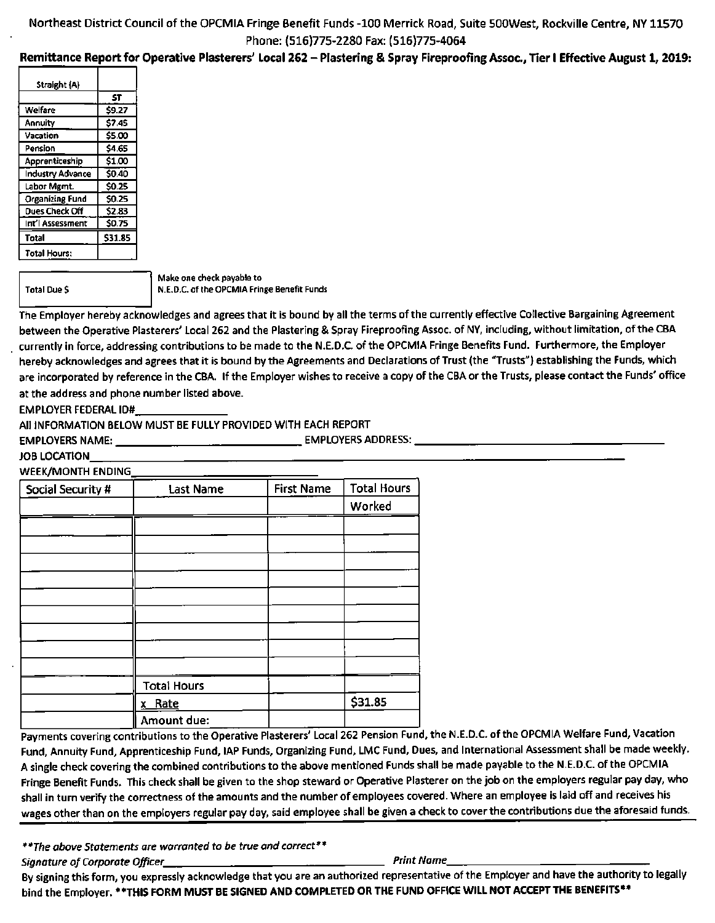# Remittance Report for Operative Plasterers' Local 262 - Plastering & Spray Fireproofing Assoc., Tier I Effective August 1,2019:

| Straight (A)            |         |
|-------------------------|---------|
|                         | ST      |
| Welfare                 | \$9.27  |
| Annuity                 | \$7.45  |
| Vacation                | \$5.00  |
| Pension                 | \$4.65  |
| Apprenticeship          | \$1.00  |
| <b>Industry Advance</b> | \$0.40  |
| Labor Mgmt.             | \$0.25  |
| <b>Organizing Fund</b>  | \$0.25  |
| Dues Check Off          | \$2.83  |
| Int'l Assessment        | \$0.75  |
| Total                   | \$31.85 |
| <b>Total Hours:</b>     |         |

Total Due \$

Make one check payable to N.E.D.C. of the OPCMIA Fringe Benefit Funds

The Employer hereby acknowledges and agrees that it is bound by all the terms of the currently effective Collective Bargaining Agreement between the Operative Plasterers' Local 262 and the Plastering & Spray Fireproofing Assoc. of NY, including, without limitation, of the CBA currently in force, addressing contributions to be made to the N.E.D.C. of the OPCMIA Fringe Benefits Fund. Furthermore, the Employer hereby acknowledges and agrees that it is bound by the Agreements and Declarations of Trust (the "Trusts") establishing the Funds, which are incorporated by reference in the CBA. If the Employer wishes to receive a copy of the CBA or the Trusts, please contact the Funds' office at the address and phone number listed above.

EMPLOYER FEDERAL ID#

All INFORMATION BELOW MUST BE FULLY PROVIDED WITH EACH REPORT

EMPLOYERS NAME: EMPLOYERS ADDRESS:

JOB LOCATION

**WEEK/MONTH ENDING** 

| Social Security # | <b>Last Name</b>   | <b>First Name</b> | <b>Total Hours</b> |
|-------------------|--------------------|-------------------|--------------------|
|                   |                    |                   | Worked             |
|                   |                    |                   |                    |
|                   |                    |                   |                    |
|                   |                    |                   |                    |
|                   |                    |                   |                    |
|                   |                    |                   |                    |
|                   |                    |                   |                    |
|                   |                    |                   |                    |
|                   |                    |                   |                    |
|                   |                    |                   |                    |
|                   | <b>Total Hours</b> |                   |                    |
|                   | x Rate             |                   | \$31.85            |
|                   | Amount due:        |                   |                    |

Payments covering contributions to the Operative Plasterers' Local 262 Pension Fund, the N.E.D.C. of the OPCMIA Welfare Fund, Vacation Fund, Annuity Fund, Apprenticeship Fund, lAP Funds, Organizing Fund, LMC Fund, Dues, and International Assessment shall be made weekly. A single check covering the combined contributions to the above mentioned Funds shall be made payable to the N.E.D.C. of the OPCMIA Fringe Benefit Funds. This check shall be given to the shop steward or Operative Plasterer on the Job on the employers regular pay day, who shall in turn verify the correctness of the amounts and the number of employees covered. Where an employee is laid off and receives his wages other than on the employers regular pay day, said employee shall be given a check to cover the contributions due the aforesaid funds.

\*\*The above Statements are warranted to be true and correct\*\* Signature of Corporate Officer\_ Print Name

By signing this form, you expressly acknowledge that you are an authorized representative of the Employer and have the authority to legally bind the Employer. \*\*THIS FORM MUST BE SIGNED AND COMPLETED OR THE FUND OFFICE WILL NOT ACCEPT THE BENEFITS\*\*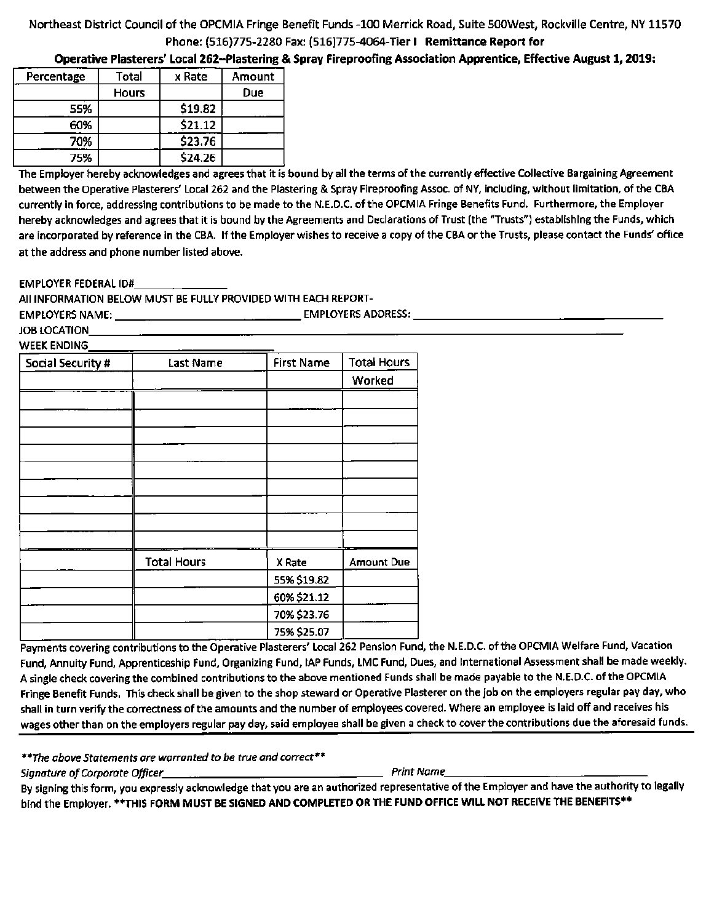Operative Plasterers' Local 262-Plastering & Spray Fireproofing Association Apprentice, Effective August 1,2019:

| Percentage | Total        | x Rate  | Amount |
|------------|--------------|---------|--------|
|            | <b>Hours</b> |         | Due    |
| 55%        |              | \$19.82 |        |
| 60%        |              | \$21.12 |        |
| 70%        |              | \$23.76 |        |
| 75%        |              | \$24.26 |        |

The Employer hereby acknowledges and agrees that it is bound by all the terms of the currently effective Collective Bargaining Agreement between the Operative Plasterers' Local 262 and the Plastering & Spray Fireproofing Assoc. of NY, including, without limitation, of the CBA currently in force, addressing contributions to be made to the N.E.D.C. of the OPCMIA Fringe Benefits Fund. Furthermore, the Employer hereby acknowledges and agrees that it is bound by the Agreements and Declarations of Trust (the "Trusts") establishing the Funds, which are incorporated by reference in the CBA. If the Employer wishes to receive a copy of the CBA or the Trusts, please contact the Funds' office at the address and phone number listed above.

EMPLOYER FEDERAL ID#

All INFORMATION BELOW MUST BE FULLY PROVIDED WITH EACH REPORT-

EMPLOYERS NAME: EMPLOYERS ADDRESS:

JOB LOCATION WEEK ENDING

| Social Security # | Last Name          | <b>First Name</b> | <b>Total Hours</b> |
|-------------------|--------------------|-------------------|--------------------|
|                   |                    |                   | Worked             |
|                   |                    |                   |                    |
|                   |                    |                   |                    |
|                   |                    |                   |                    |
|                   |                    |                   |                    |
|                   |                    |                   |                    |
|                   |                    |                   |                    |
|                   |                    |                   |                    |
|                   |                    |                   |                    |
|                   |                    |                   |                    |
|                   | <b>Total Hours</b> | X Rate            | <b>Amount Due</b>  |
|                   |                    | 55% \$19.82       |                    |
|                   |                    | 60% \$21.12       |                    |
|                   |                    | 70% \$23.76       |                    |
|                   |                    | 75% \$25.07       |                    |

Payments covering contributions to the Operative Plasterers' Local 262 Pension Fund, the N.E.D.C. of the OPCMIA Welfare Fund, Vacation Fund, Annuity Fund, Apprenticeship Fund, Organizing Fund, lAP Funds, LMC Fund, Dues, and International Assessment shall be made weekly. A single check covering the combined contributions to the above mentioned Funds shall be made payable to the N.E.D.C. of the OPCMIA Fringe Benefit Funds. This check shall be given to the shop steward or Operative Plasterer on the job on the employers regular pay day, who shall in turn verify the correctness of the amounts and the number of employees covered. Where an employee is laid off and receives his wages other than on the employers regular pay day, said employee shall be given a check to cover the contributions due the aforesaid funds.

\*\*The above Statements are warranted to be true and correct\*\*

Signature of Corporate Officer Print Name

By signing this form, you expressly acknowledge that you are an authorized representative of the Employer and have the authority to legally bind the Employer. \*\* THIS FORM MUST BE SIGNED AND COMPLETED OR THE FUND OFFICE WILL NOT RECEIVE THE BENEFITS\*\*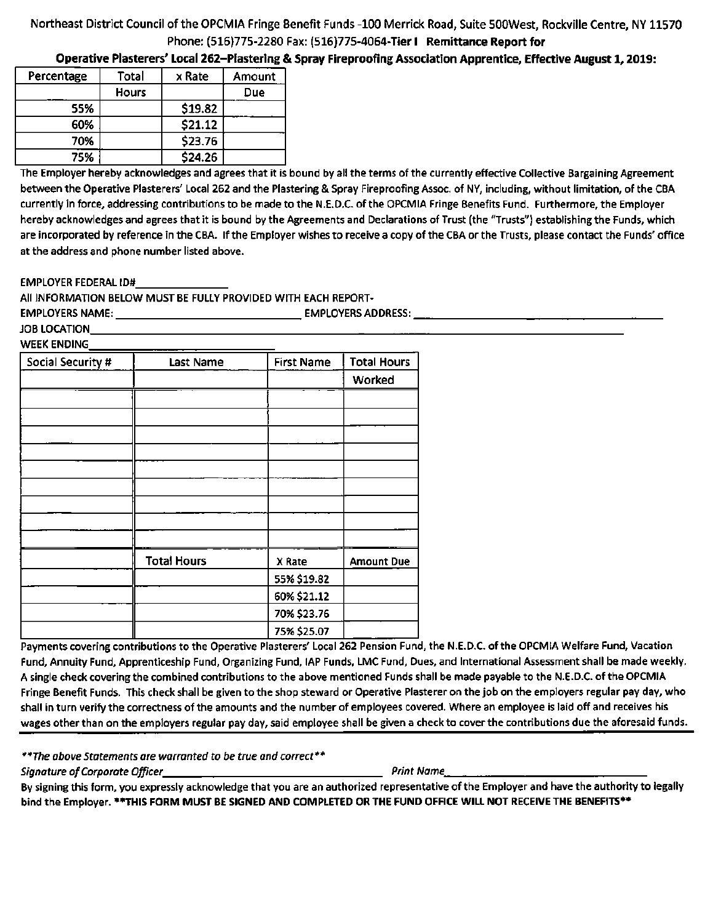Operative Plasterers' Local 262-Plasterlng & Spray Flreprooflng Association Apprentice, Effective August 1,2019:

| Percentage | Total        | x Rate  | Amount |
|------------|--------------|---------|--------|
|            | <b>Hours</b> |         | Due    |
| 55%        |              | \$19.82 |        |
| 60%        |              | \$21.12 |        |
| 70%        |              | \$23.76 |        |
| 75%        |              | \$24.26 |        |

The Employer hereby acknowledges and agrees that it is bound by all the terms of the currently effective Collective Bargaining Agreement between the Operative Plasterers' Local 262 and the Plastering & Spray Fireproofing Assoc. of NY, including, without limitation, of the CBA currently in force, addressing contributions to be made to the N.E.D.C. of the OPCMIA Fringe Benefits Fund. Furthermore, the Employer hereby acknowledges and agrees that it is bound by the Agreements and Declarations of Trust (the "Trusts") establishing the Funds, which are incorporated by reference in the CBA. If the Employer wishes to receive a copy of the CBA or the Trusts, please contact the Funds' office at the address and phone number listed above.

EMPLOYER FEDERAL ID#

All INFORMATION BELOW MUST BE FULLY PROVIDED WITH EACH REPORT-

EMPLOYERS NAME: EMPLOYERS ADDRESS:

JOB LOCATION WEEK ENDING

| Social Security # | <b>Last Name</b>   | <b>First Name</b> | <b>Total Hours</b> |
|-------------------|--------------------|-------------------|--------------------|
|                   |                    |                   | Worked             |
|                   |                    |                   |                    |
|                   |                    |                   |                    |
|                   |                    |                   |                    |
|                   |                    |                   |                    |
|                   |                    |                   |                    |
|                   |                    |                   |                    |
|                   |                    |                   |                    |
|                   |                    |                   |                    |
|                   |                    |                   |                    |
|                   | <b>Total Hours</b> | X Rate            | <b>Amount Due</b>  |
|                   |                    | 55% \$19.82       |                    |
|                   |                    | 60% \$21.12       |                    |
|                   |                    | 70% \$23.76       |                    |
|                   |                    | 75% \$25.07       |                    |

Payments covering contributions to the Operative Plasterers' Local 262 Pension Fund, the N.E.D.C. of the OPCMIA Welfare Fund, Vacation Fund, Annuity Fund, Apprenticeship Fund, Organizing Fund, lAP Funds, LMC Fund, Dues, and International Assessment shall be made weekly. A single check covering the combined contributions to the above mentioned Funds shall be made payable to the N.E.D.C. of the OPCMIA Fringe Benefit Funds. This check shall be given to the shop steward or Operative Plasterer on the job on the employers regular pay day, who shall in turn verify the correctness of the amounts and the number of employees covered. Where an employee is laid off and receives his wages other than on the employers regular pay day, said employee shall be given a check to cover the contributions due the aforesaid funds.

\*\*The above Statements are warranted to be true and correct\*\* The above statements are warranted to be true and correct<br>Signature of Corporate Officer Principles (Print Name, Print Name, Print Name, Print Name, Print Name, Print Name, Print Name, Print Name, Print Name, Print Name, P

By signing this form, you expressly acknowledge that you are an authorized representative of the Employer and have the authority to legally bind the Employer. \*\*THIS FORM MUST BE SIGNED AND COMPLETED OR THE FUND OFFICE WILL NOT RECEIVE THE BENEFITS\*\*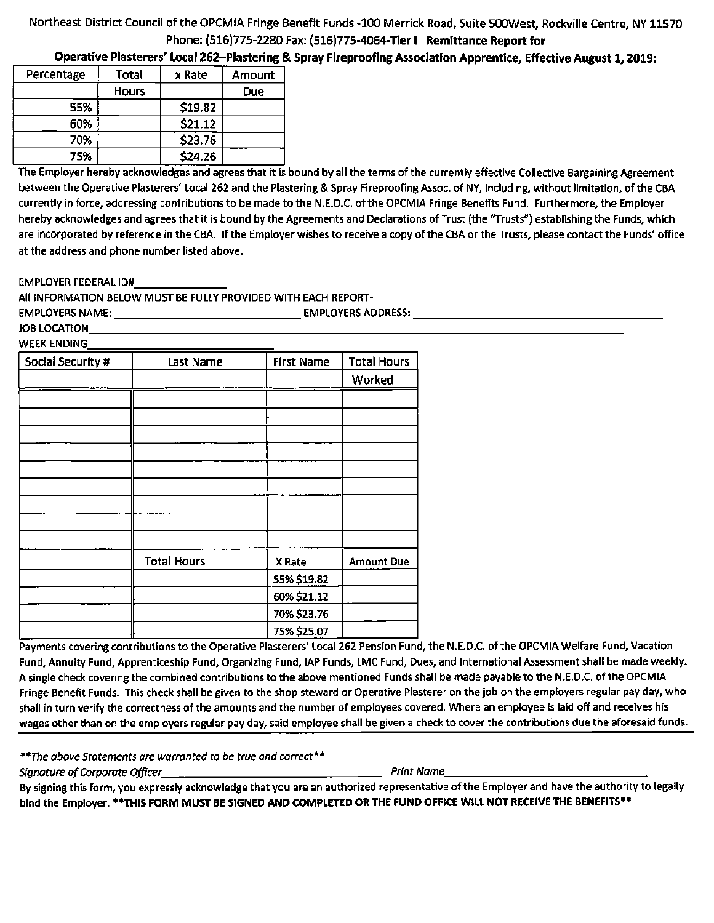Operative Plasterers' Local 262-Plastering & Spray Fireproofing Association Apprentice, Effective August 1,2019:

| Percentage | Total        | x Rate  | Amount |
|------------|--------------|---------|--------|
|            | <b>Hours</b> |         | Due    |
| 55%        |              | \$19.82 |        |
| 60%        |              | \$21.12 |        |
| 70%        |              | \$23.76 |        |
| 75%        |              | \$24.26 |        |

The Employer hereby acknowledges and agrees that it is bound by all the terms of the currently effective Collective Bargaining Agreement between the Operative Plasterers' Local 262 and the Plastering & Spray Fireproofing Assoc. of NY, including, without limitation, of the CBA currently in force, addressing contributions to be made to the N.E.D.C. of the OPCMIA Fringe Benefits Fund. Furthermore, the Employer hereby acknowledges and agrees that it is bound by the Agreements and Declarations of Trust (the "Trusts") establishing the Funds, which are incorporated by reference in the CBA. If the Employer wishes to receive a copy of the CBA or the Trusts, please contact the Funds' office at the address and phone number listed above.

EMPLOYER FEDERAL ID#

All INFORMATION BELOW MUST BE FULLY PROVIDED WITH EACH REPORT-

EMPLOYERS NAME: EMPLOYERS ADDRESS: JOB LOCATION

WEEK ENDING

| <b>Social Security #</b> | Last Name          | <b>First Name</b> | <b>Total Hours</b> |
|--------------------------|--------------------|-------------------|--------------------|
|                          |                    |                   | Worked             |
|                          |                    |                   |                    |
|                          |                    |                   |                    |
|                          |                    |                   |                    |
|                          |                    |                   |                    |
|                          |                    |                   |                    |
|                          |                    |                   |                    |
|                          |                    |                   |                    |
|                          |                    |                   |                    |
|                          |                    |                   |                    |
|                          | <b>Total Hours</b> | X Rate            | <b>Amount Due</b>  |
|                          |                    | 55% \$19.82       |                    |
|                          |                    | 60% \$21.12       |                    |
|                          |                    | 70% \$23.76       |                    |
|                          |                    | 75% \$25.07       |                    |

Payments covering contributions to the Operative Plasterers' Local 262 Pension Fund, the N.E.D.C. of the OPCMIA Welfare Fund, Vacation Fund, Annuity Fund, Apprenticeship Fund, Organizing Fund, lAP Funds, LMC Fund, Dues, and International Assessment shall be made weekly. A single check covering the combined contributions to the above mentioned Funds shall be made payable to the N.E.D.C. of the OPCMIA Fringe Benefit Funds. This check shall be given to the shop steward or Operative Plasterer on the job on the employers regular pay day, who shall in turn verify the correctness of the amounts and the number of employees covered. Where an employee is laid off and receives his wages other than on the employers regular pay day, said employee shall be given a check to cover the contributions due the aforesaid funds.

\*\*The above Statements are warranted to be true and correct\*\*

Signature of Corporate Officer Print Name II And Name II And Name II And Name II And Name II And Name II And N

By signing this form, you expressly acknowledge that you are an authorized representative of the Employer and have the authority to legally bind the Employer. \*\*THIS FORM MUST BE SIGNED AND COMPLETED OR THE FUND OFFICE WILL NOT RECEIVE THE BENEFITS\*\*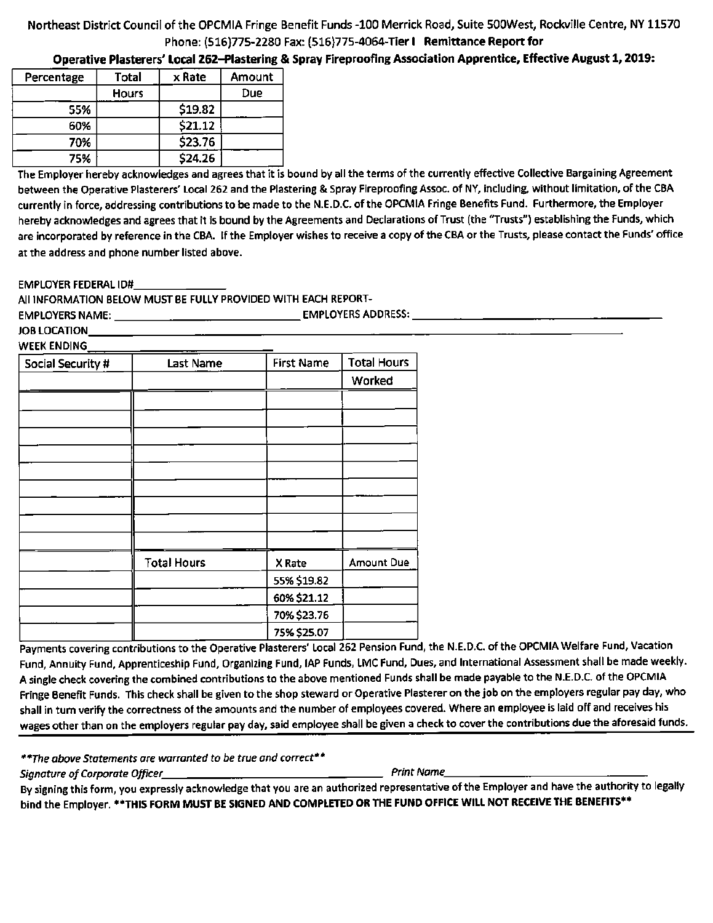Operative Plasterers' Local 262-Plastering & Spray Fireproofing Association Apprentice, Effective August 1,2019:

| Percentage | Total        | x Rate  | Amount |
|------------|--------------|---------|--------|
|            | <b>Hours</b> |         | Due    |
| 55%        |              | \$19.82 |        |
| 60%        |              | \$21.12 |        |
| 70%        |              | \$23.76 |        |
| 75%        |              | \$24.26 |        |

The Employer hereby acknowledges and agrees that it is bound by all the terms of the currently effective Collective Bargaining Agreement between the Operative Plasterers' Local 262 and the Plastering & Spray Fireproofing Assoc. of NY, including, without limitation, of the CBA currently in force, addressing contributions to be made to the N.E.D.C. of the OPCMIA Fringe Benefits Fund. Furthermore, the Employer hereby acknowledges and agrees that it is bound by the Agreements and Declarations of Trust (the "Trusts") establishing the Funds, which are incorporated by reference in the CBA. If the Employer wishes to receive a copy of the CBA or the Trusts, please contact the Funds' office at the address and phone number listed above.

#### EMPLOYER FEDERAL ID#

All INFORMATION BELOW MUST BE FULLY PROVIDED WITH EACH REPORT-

EMPLOYERS NAME: EMPLOYERS ADDRESS: **All and the Contract of All and The Contract of All and The Contract of All and The Contract of All and The Contract of All and The Contract of All and The Contract of All and The Contract of All and Th** 

JOB LOCATION

| WEEK ENDING       |
|-------------------|
| Social Security # |
|                   |

| Social Security # | <b>Last Name</b>   | <b>First Name</b> | <b>Total Hours</b> |
|-------------------|--------------------|-------------------|--------------------|
|                   |                    |                   | Worked             |
|                   |                    |                   |                    |
|                   |                    |                   |                    |
|                   |                    |                   |                    |
|                   |                    |                   |                    |
|                   |                    |                   |                    |
|                   |                    |                   |                    |
|                   |                    |                   |                    |
|                   |                    |                   |                    |
|                   |                    |                   |                    |
|                   | <b>Total Hours</b> | X Rate            | Amount Due         |
|                   |                    | 55% \$19.82       |                    |
|                   |                    | 60% \$21.12       |                    |
|                   |                    | 70% \$23.76       |                    |
|                   |                    | 75% \$25.07       |                    |

Fund, Annuity Fund, Apprenticeship Fund, Organizing Fund, lAP Funds, LMC Fund, Dues, and International Assessment shall be made weekly. A single check covering the combined contributions to the above mentioned Funds shall be made payable to the N.E.D.C. of the OPCMIA Fringe Benefit Funds. This check shall be given to the shop steward or Operative Plasterer on the job on the employers regular pay day, who shall in turn verify the correctness of the amounts and the number of employees covered. Where an employee is laid off and receives his wages other than on the employers regular pay day, said employee shall be given a check to cover the contributions due the aforesaid funds.

\*\*The above Statements are warranted to be true and correct\*\*

Signature of Corporate Officer\_ Print Name

By signing this form, you expressly acknowledge that you are an authorized representative of the Employer and have the authority to legally bind the Employer. \*\*THIS FORM MUST BE SIGNED AND COMPLETED OR THE FUND OFFICE WILL NOT RECEIVE THE BENEFITS\*\*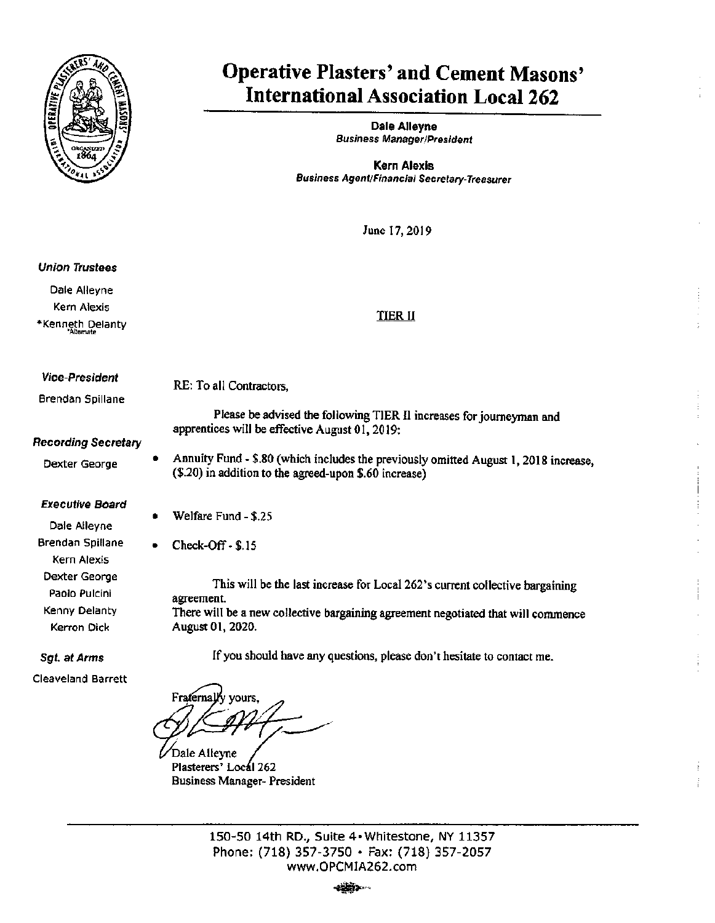

# Operative Plasters' and Cement Masons' International Association Local 262

Dale Alleyne Business Manager/President

Kern Alexis Business Agent/Financial Secretary-Treasurer

June 17,2019

#### Union Trustees

Dale Alleyne Kern Alexis \* Kenneth Delanty

## TIER II

#### VIce-President

Brendan Spillane

RE: To all Contractors,

Please be advised the following TIER II increases for journeyman and apprentices will be effective August 01,2019:

# Recording Secretary

Dexter George

#### Executive Board

Dale Alleyne Brendan Spillane Kern Alexis Dexter George Paolo Pulcini Kenny Delanty Kerron Dick

# Sgt. at Arms

Cleaveland Barrett

Annuity Fund - \$.80 (which includes the previously omitted August 1,2018 increase, (\$.20) in addition to the agreed-upon \$.60 increase)

Welfare Fund - \$.25

Check-off - \$.15

This will be the last increase for Local 262's current collective bargaining agreement. There will be a new collective bargaining agreement negotiated that will commence August 01,2020.

If you should have any questions, please don't hesitate to contact me.

Fraternally yours.

Dale Alleyne Plasterers' Local 262 Business Manager- President

150-50 14th RD., Suite 4« Whitestone, NY 11357 Phone: (718) 357-3750 • Fax: (718) 357-2057 www.OPCMIA252.com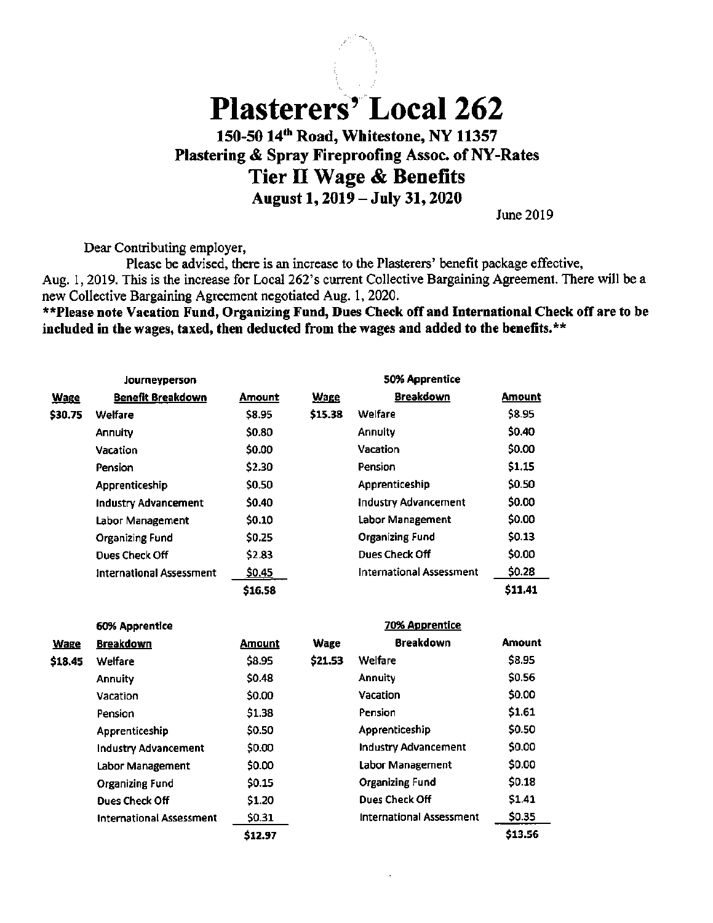# Plasterers' Local 262 150-50 14^^^ Road, Whitestone, NY 11357 Plastering & Spray Fireproofing Assoc. of NY-Rates Tier II Wage & Benefits August 1,2019 - July 31,2020

June 2019

Dear Contributing employer.

Please be advised, there is an increase to the Plasterers' benefit package effective, Aug. 1,2019. This is the increase for Local 262's current Collective Bargaining Agreement. There will be a new Collective Bargaining Agreement negotiated Aug. 1,2020.

\*\*Please note Vacation Fund, Organizing Fund, Dues Check off and International Check off are to be included in the wages, taxed, then deducted from the wages and added to the benefits.\*\*

|             | Journeyperson                   |         |             | 50% Apprentice                  |               |
|-------------|---------------------------------|---------|-------------|---------------------------------|---------------|
| <b>Wage</b> | <b>Benefit Breakdown</b>        | Amount  | <b>Wage</b> | <b>Breakdown</b>                | <b>Amount</b> |
| \$30.75     | Welfare                         | \$8.95  | \$15.38     | Welfare                         | \$8.95        |
|             | Annuity                         | \$0.80  |             | Annuity                         | \$0.40        |
|             | Vacation                        | \$0.00  |             | <b>Vacation</b>                 | \$0.00        |
|             | Pension                         | \$2.30  |             | Pension                         | \$1.15        |
|             | Apprenticeship                  | \$0.50  |             | Apprenticeship                  | \$0.50        |
|             | <b>Industry Advancement</b>     | \$0.40  |             | <b>Industry Advancement</b>     | \$0.00        |
|             | Labor Management                | \$0.10  |             | Labor Management                | \$0.00        |
|             | <b>Organizing Fund</b>          | \$0.25  |             | <b>Organizing Fund</b>          | \$0.13        |
|             | Dues Check Off                  | \$2.83  |             | Dues Check Off                  | \$0.00        |
|             | <b>International Assessment</b> | \$0.45  |             | <b>International Assessment</b> | \$0.28        |
|             |                                 | \$16.58 |             |                                 | \$11.41       |

|             | 60% Apprentice                  |         |         | 70% Apprentice                  |         |
|-------------|---------------------------------|---------|---------|---------------------------------|---------|
| <b>Wage</b> | <b>Breakdown</b>                | Amount  | Wage    | <b>Breakdown</b>                | Amount  |
| \$18.45     | Welfare                         | \$8.95  | \$21.53 | Welfare                         | \$8.95  |
|             | Annuity                         | \$0.48  |         | <b>Annuity</b>                  | \$0.56  |
|             | Vacation                        | \$0.00  |         | Vacation                        | \$0.00  |
|             | Pension                         | \$1.38  |         | Pension                         | \$1.61  |
|             | Apprenticeship                  | \$0.50  |         | Apprenticeship                  | \$0.50  |
|             | Industry Advancement            | \$0.00  |         | <b>Industry Advancement</b>     | \$0.00  |
|             | Labor Management                | \$0.00  |         | Labor Management                | \$0.00  |
|             | <b>Organizing Fund</b>          | \$0.15  |         | <b>Organizing Fund</b>          | \$0.18  |
|             | <b>Dues Check Off</b>           | \$1.20  |         | Dues Check Off                  | \$1.41  |
|             | <b>International Assessment</b> | \$0.31  |         | <b>International Assessment</b> | \$0.35  |
|             |                                 | \$12.97 |         |                                 | \$13.56 |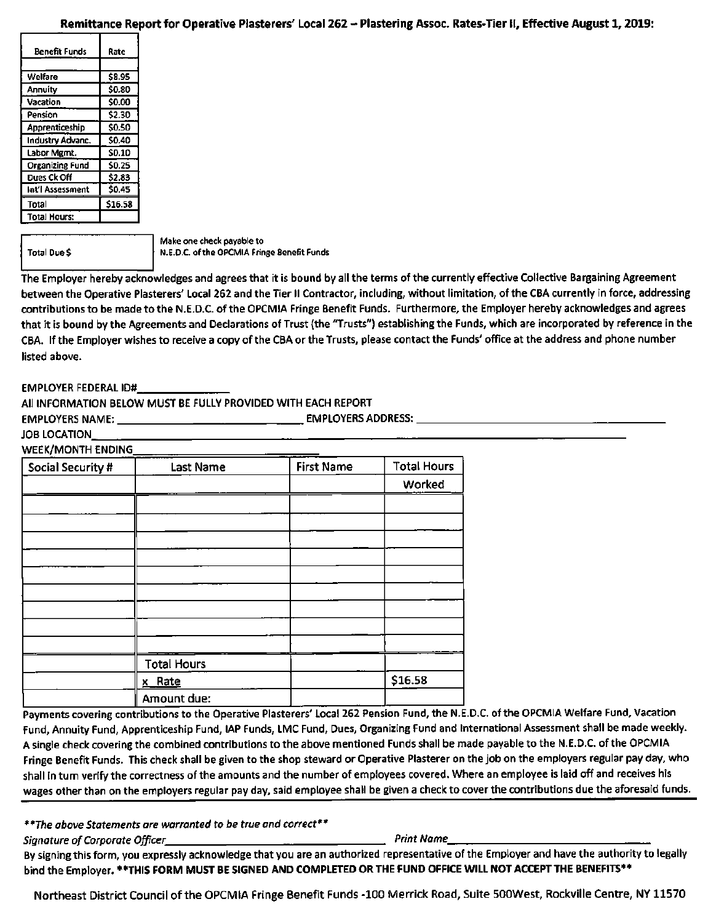#### Remittance Report for Operative Plasterers' Local 262 - Plastering Assoc. Rates-Tier II, Effective August 1, 2019:

| <b>Benefit Funds</b>   | Rate         |
|------------------------|--------------|
|                        |              |
| Welfare                | \$8.95       |
| Annuity                | \$0.80       |
| Vacation               | \$0.00       |
| Pension                | \$2.30       |
| Apprenticeship         | \$0.50       |
| Industry Advanc.       | \$0.40       |
| Labor Mgmt.            | <b>SD.10</b> |
| <b>Organizing Fund</b> | \$0.25       |
| Dues Ck Off            | \$2.83       |
| Int'l Assessment       | \$0.45       |
| Total                  | \$16.58      |
| Total Hours:           |              |

Total Due \$

Make one check payable to N.E.D.C. of the OPCMIA Fringe Benefit Funds

The Employer hereby acknowledges and agrees that it is bound by all the terms of the currently effective Collective Bargaining Agreement between the Operative Plasterers' Local 262 and the Tier II Contractor, including, without limitation, of the CBA currently in force, addressing contributions to be made to the N.E.D.C. of the OPCMIA Fringe Benefit Funds. Furthermore, the Employer hereby acknowledges and agrees that it is bound by the Agreements and Declarations of Trust (the "Trusts") establishing the Funds, which are incorporated by reference in the CBA. If the Employer wishes to receive a copy of the CBA or the Trusts, please contact the Funds' office at the address and phone number listed above.

#### EMPLOYER FEDERAL ID#

All INFORMATION BELOW MUST BE FULLY PROVIDED WITH EACH REPORT

EMPLOYERS NAME: EMPLOYERS ADDRESS:

#### JOB LOCATION

**WEEK/MONTH ENDING** 

| Social Security # | <b>Last Name</b>   | <b>First Name</b> | <b>Total Hours</b> |
|-------------------|--------------------|-------------------|--------------------|
|                   |                    |                   | Worked             |
|                   |                    |                   |                    |
|                   |                    |                   |                    |
|                   |                    |                   |                    |
|                   |                    |                   |                    |
|                   |                    |                   |                    |
|                   |                    |                   |                    |
|                   |                    |                   |                    |
|                   |                    |                   |                    |
|                   |                    |                   |                    |
|                   | <b>Total Hours</b> |                   |                    |
|                   | x Rate             |                   | \$16.58            |
|                   | Amount due:        |                   |                    |

Payments covering contributions to the Operative Plasterers' Local 262 Pension Fund, the N.E.D.C. of the OPCMIA Welfare Fund, Vacation Fund, Annuity Fund, Apprenticeship Fund, lAP Funds, LMC Fund, Dues, Organizing Fund and International Assessment shall be made weekly. A single check covering the combined contributions to the above mentioned Funds shall be made payable to the N.E.D.C. of the OPCMIA Fringe Benefit Funds. This check shall be given to the shop steward or Operative Plasterer on the job on the employers regular pay day, who shall in turn verify the correctness of the amounts and the number of employees covered. Where an employee is laid off and receives his wages other than on the employers regular pay day, said employee shall be given a check to cover the contributions due the aforesaid funds.

\*\*The above Statements are warranted to be true and correct\*\*

Signature of Corporate Officer Print Name

By signing this form, you expressly acknowledge that you are an authorized representative of the Employer and have the authority to legally bind the Employer. \*\*THIS FORM MUST BE SIGNED AND COMPLETED OR THE FUND OFFICE WILL NOT ACCEPT THE BENEFITS\*\*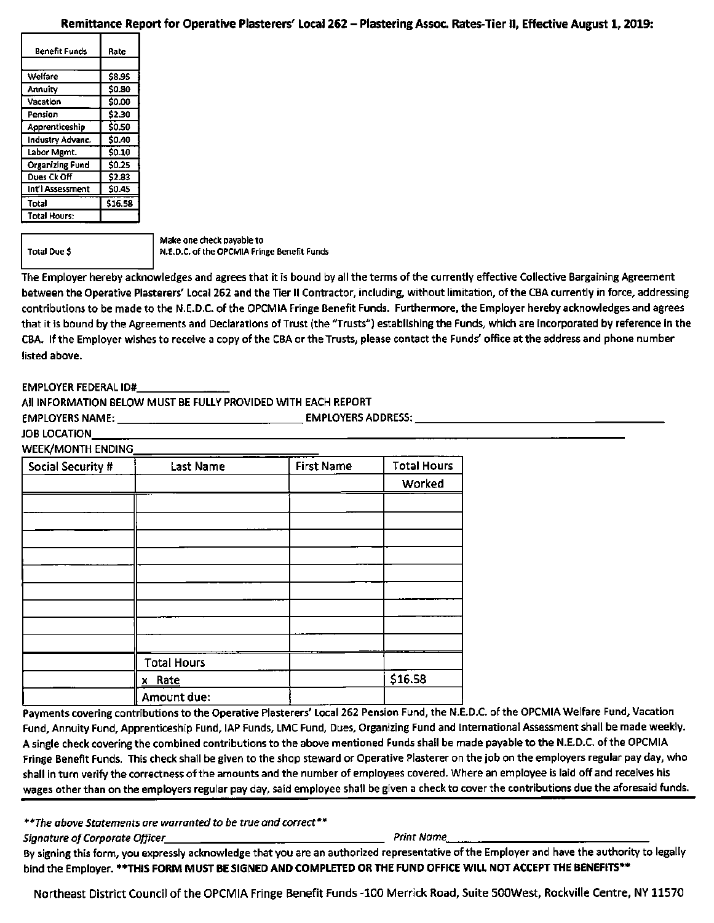# Remittance Re port for Operative Plasterers' Local 262 - Plastering Assoc. Rates-Tier II, Effective August 1,2019:

| Benefit Funds          | Rate         |
|------------------------|--------------|
|                        |              |
| Welfare                | <b>S8.95</b> |
| Annuity                | \$0.80       |
| Vacation               | \$0.00       |
| Pension                | \$2.30       |
| Apprenticeship         | \$0.50       |
| Industry Advanc.       | \$0.40       |
| Labor Mgmt.            | \$0.10       |
| <b>Organizing Fund</b> | \$0.25       |
| Dues Ck Off            | \$2.83       |
| Int'l Assessment       | <b>SO.45</b> |
| Total                  | \$16.58      |
| <b>Total Hours:</b>    |              |

Total Due \$

Make one check payable to N.E.D.C. of the OPCMIA Fringe Benefit Funds

The Employer hereby acknowledges and agrees that it is bound by all the terms of the currently effective Collective Bargaining Agreement between the Operative Plasterers' Local 262 and the Tier II Contractor, including, without limitation, of the CBA currently in force, addressing contributions to be made to the N.E.D.C. of the OPCMIA Fringe Benefit Funds. Furthermore, the Employer hereby acknowledges and agrees that it is bound by the Agreements and Declarations of Trust (the "Trusts") establishing the Funds, which are incorporated by reference in the CBA. If the Employer wishes to receive a copy of the CBA or the Trusts, please contact the Funds' office at the address and phone number listed above.

#### EMPLOYER FEDERAL ID#

All INFORMATION BELOW MUST BE FULLY PROVIDED WITH EACH REPORT

EMPLOYERS NAME: EMPLOYERS ADDRESS:

#### JOB LOCATION

#### **WEEK/MONTH ENDING**

| <b>Social Security #</b> | <b>Last Name</b>   | <b>First Name</b> | <b>Total Hours</b> |
|--------------------------|--------------------|-------------------|--------------------|
|                          |                    |                   | Worked             |
|                          |                    |                   |                    |
|                          |                    |                   |                    |
|                          |                    |                   |                    |
|                          |                    |                   |                    |
|                          |                    |                   |                    |
|                          |                    |                   |                    |
|                          |                    |                   |                    |
|                          |                    |                   |                    |
|                          |                    |                   |                    |
|                          | <b>Total Hours</b> |                   |                    |
|                          | x Rate             |                   | \$16.58            |
|                          | Amount due:        |                   |                    |

Payments covering contributions to the Operative Plasterers' Local 262 Pension Fund, the N.E.D.C. of the OPCMIA Welfare Fund, Vacation Fund, Annuity Fund, Apprenticeship Fund, lAP Funds, LMC Fund, Dues, Organizing Fund and International Assessment shall be made weekly. A single check covering the combined contributions to the above mentioned Funds shall be made payable to the N.E.D.C. of the OPCMIA Fringe Benefit Funds. This check shall be given to the shop steward or Operative Plasterer on the job on the employers regular pay day, who shall in turn verify the correctness of the amounts and the number of employees covered. Where an employee is laid off and receives his wages other than on the employers regular pay day, said employee shall be given a check to cover the contributions due the aforesaid funds.

\*\*The above Statements are warranted to be true and correct\*\*

Signature of Corporate Officer Prince Assessment Corporate Print Name

By signing this form, you expressly acknowledge that you are an authorized representative of the Employer and have the authority to legally bind the Employer. \*\*THIS FORM MUST BE SIGNED AND COMPLETED OR THE FUND OFFICE WILL NOT ACCEPT THE BENEFITS\*\*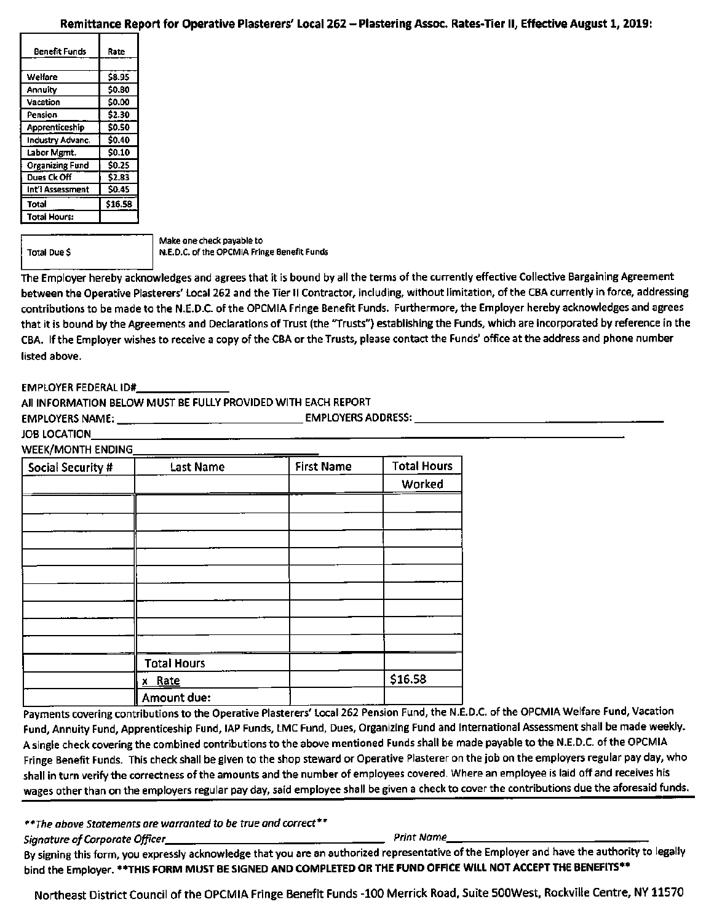# Remittance Re port for Operative Plasterers' Local 262 - Plastering Assoc. Rates-Tier II, Effective August 1,2019:

| Benefit Funds          | Rate         |
|------------------------|--------------|
|                        |              |
| Welfare                | \$8.95       |
| Annuity                | \$0.80       |
| Vacation               | \$0.00       |
| Pension                | \$2.30       |
| Apprenticeship         | \$0.50       |
| Industry Advanc.       | \$0.40       |
| Labor Mgmt.            | <b>SO.10</b> |
| <b>Organizing Fund</b> | \$0.25       |
| Dues Ck Off            | \$2.83       |
| int'i Assessment       | \$0.45       |
| Total                  | \$16.58      |
| <b>Total Hours:</b>    |              |

Total Due \$

Make one check payable to N.E.D.C. of the OPCMIA Fringe Benefit Funds

The Employer hereby acknowledges and agrees that it is bound by all the terms of the currently effective Collective Bargaining Agreement between the Operative Plasterers' Local 262 and the Tier II Contractor, including, without limitation, of the CBA currently in force, addressing contributions to be made to the N.E.D.C. of the OPCMIA Fringe Benefit Funds. Furthermore, the Employer hereby acknowledges and agrees that it is bound by the Agreements and Declarations of Trust (the "Trusts") establishing the Funds, which are incorporated by reference in the CBA. If the Employer wishes to receive a copy of the CBA or the Trusts, please contact the Funds' office at the address and phone number listed above.

#### EMPLOYER FEDERAL ID#

All INFORMATION BELOW MUST BE FULLY PROVIDED WITH EACH REPORT

EMPLOYERS NAME: EMPLOYERS ADDRESS:

#### JOB LOCATION

**WEEK/MONTH ENDING** 

| Social Security # | <b>Last Name</b>   | <b>First Name</b> | <b>Total Hours</b> |
|-------------------|--------------------|-------------------|--------------------|
|                   |                    |                   | Worked             |
|                   |                    |                   |                    |
|                   |                    |                   |                    |
|                   |                    |                   |                    |
|                   |                    |                   |                    |
|                   |                    |                   |                    |
|                   |                    |                   |                    |
|                   |                    |                   |                    |
|                   |                    |                   |                    |
|                   |                    |                   |                    |
|                   | <b>Total Hours</b> |                   |                    |
|                   | x Rate             |                   | \$16.58            |
|                   | Amount due:        |                   |                    |

Payments covering contributions to the Operative Plasterers' Local 262 Pension Fund, the N.E.D.C. of the OPCMIA Welfare Fund, Vacation Fund, Annuity Fund, Apprenticeship Fund, lAP Funds, LMC Fund, Dues, Organizing Fund and International Assessment shall be made weekly. A single check covering the combined contributions to the above mentioned Funds shall be made payable to the N.E.D.C. of the OPCMIA Fringe Benefit Funds. This check shall be given to the shop steward or Operative Plasterer on the job on the employers regular pay day, who shall in turn verify the correctness of the amounts and the number of employees covered. Where an employee is laid off and receives his wages other than on the employers regular pay day, said employee shall be given a check to cover the contributions due the aforesaid funds.

\*\*The above Statements are warranted to be true and correct\*\*

Signature of Corporate Officer\_ Print Name

By signing this form, you expressly acknowledge that you are an authorized representative of the Employer and have the authority to legally bind the Employer. \*\*THIS FORM MUST BE SIGNED AND COMPLETED OR THE FUND OFFICE WILL NOT ACCEPT THE BENEFITS\*\*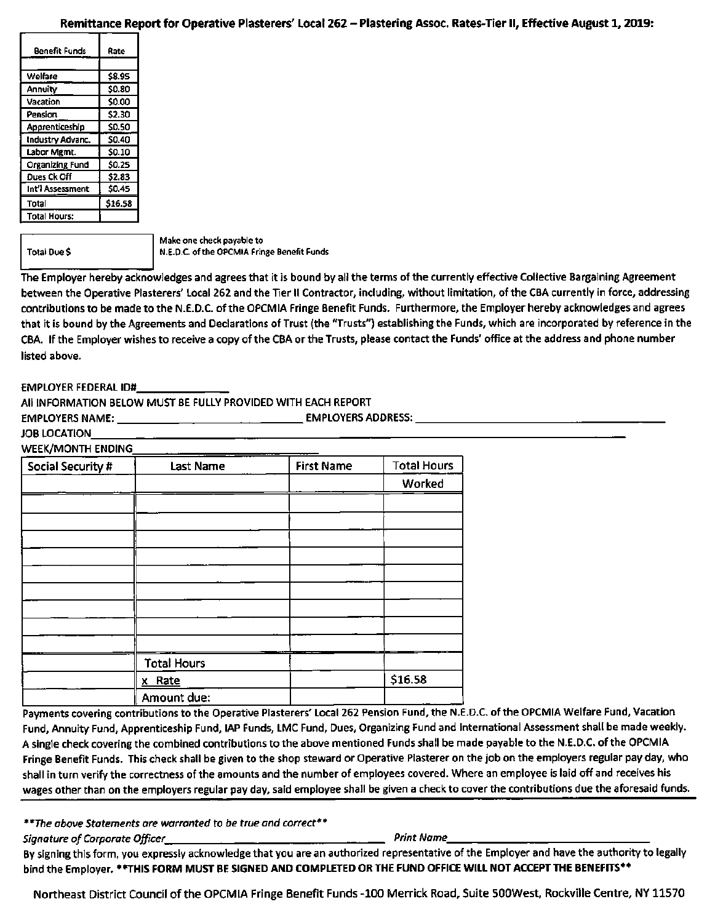# Remittance Re port for Operative Plasterers' Local 262 - Plastering Assoc. Rates-Tier 11, Effective August 1,2019:

| <b>Benefit Funds</b>   | Rate   |
|------------------------|--------|
|                        |        |
| Welfare                | \$8.95 |
| Annuity                | \$0.80 |
| Vacation               | \$0.00 |
| Pension                | \$2.30 |
| Apprenticeship         | \$0.50 |
| Industry Advanc.       | \$0.40 |
| Labor Mgmt.            | \$0.10 |
| <b>Organizing Fund</b> | \$0.25 |
| Dues Ck Off            | \$2.83 |
| Int'l Assessment       | \$0.45 |
| Total                  | 516.58 |
| <b>Total Hours:</b>    |        |

Total Due \$

Make one check payable to N.E.D.C. of the OPCMIA Fringe Benefit Funds

The Employer hereby acknowledges and agrees that it is bound by all the terms of the currently effective Collective Bargaining Agreement between the Operative Plasterers' Local 262 and the Tier II Contractor, including, without limitation, of the CBA currently in force, addressing contributions to be made to the N.E.D.C. of the OPCMIA Fringe Benefit Funds. Furthermore, the Employer hereby acknowledges and agrees that it is bound by the Agreements and Declarations of Trust {the "Trusts") establishing the Funds, which are incorporated by reference in the CBA. If the Employer wishes to receive a copy of the CBA or the Trusts, please contact the Funds' office at the address and phone number listed above.

#### EMPLOYER FEDERAL ID#

All INFORMATION BELOW MUST BE FULLY PROVIDED WITH EACH REPORT

EMPLOYERS NAME: EMPLOYERS ADDRESS:

#### JOB LOCATION

| Social Security # | <b>Last Name</b>   | <b>First Name</b> | <b>Total Hours</b> |
|-------------------|--------------------|-------------------|--------------------|
|                   |                    |                   | Worked             |
|                   |                    |                   |                    |
|                   |                    |                   |                    |
|                   |                    |                   |                    |
|                   |                    |                   |                    |
|                   |                    |                   |                    |
|                   |                    |                   |                    |
|                   |                    |                   |                    |
|                   |                    |                   |                    |
|                   |                    |                   |                    |
|                   | <b>Total Hours</b> |                   |                    |
|                   | x Rate             |                   | \$16.58            |
|                   | Amount due:        |                   |                    |

Payments covering contributions to the Operative Plasterers' Local 262 Pension Fund, the N.E.D.C. of the OPCMIA Welfare Fund, Vacation Fund, Annuity Fund, Apprenticeship Fund, lAP Funds, LMC Fund, Dues, Organizing Fund and International Assessment shall be made weekly. A single check covering the combined contributions to the above mentioned Funds shall be made payable to the N.E.D.C. of the OPCMIA Fringe Benefit Funds. This check shall be given to the shop steward or Operative Plasterer on the job on the employers regular pay day, who shall in turn verify the correctness of the amounts and the number of employees covered. Where an employee is laid off and receives his wages other than on the employers regular pay day, said employee shall be given a check to cover the contributions due the aforesaid funds.

\*\*The above Statements are warranted to be true and correct\*\*

Signature of Corporate Officer Print Name

By signing this form, you expressly acknowledge that you are an authorized representative of the Employer and have the authority to legally bind the Employer. ♦\*THIS FORM MUST BE SIGNED AND COMPLETED OR THE FUND OFFICE WILL NOT ACCEPT THE BENEFITS\*\*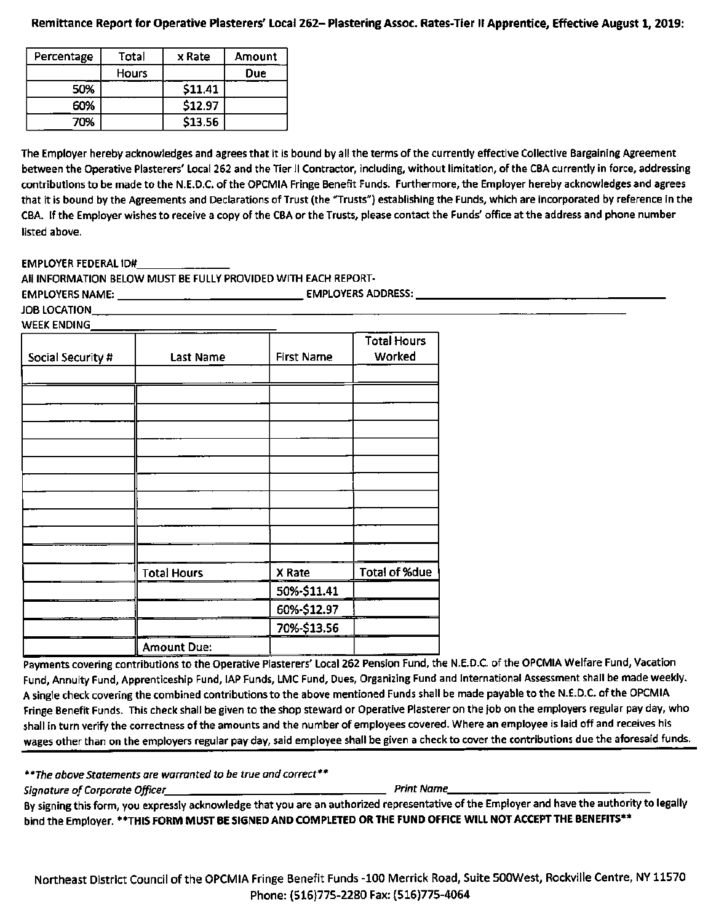### Remittance Report for Operative Plasterers' Local 262- Plastering Assoc. Rates-Tier 11 Apprentice, Effective August 1, 2019:

| Percentage | Total        | x Rate  | Amount     |
|------------|--------------|---------|------------|
|            | <b>Hours</b> |         | <b>Due</b> |
| 50%        |              | \$11.41 |            |
| 60%        |              | \$12.97 |            |
| 70%        |              | \$13.56 |            |

The Employer hereby acknowledges and agrees that it is bound by all the terms of the currently effective Collective Bargaining Agreement between the Operative Plasterers' Local 262 and the Tier II Contractor, including, without limitation, of the CBA currently in force, addressing contributions to be made to the N.E.D.C. of the OPCMIA Fringe Benefit Funds. Furthermore, the Employer hereby acknowledges and agrees that it is bound by the Agreements and Declarations of Trust (the "Trusts") establishing the Funds, which are incorporated by reference in the CBA. If the Employer wishes to receive a copy of the CBA or the Trusts, please contact the Funds' office at the address and phone number listed above.

EMPLOYER FEDERAL ID#

All INFORMATION BELOW MUST BE FULLY PROVIDED WITH EACH REPORT-EMPLOYERS NAME: EMPLOYERS ADDRESS:

JOB LOCATION WEEK ENDING

| Social Security # | <b>Last Name</b>   | <b>First Name</b> | <b>Total Hours</b><br>Worked |
|-------------------|--------------------|-------------------|------------------------------|
|                   |                    |                   |                              |
|                   |                    |                   |                              |
|                   |                    |                   |                              |
|                   |                    |                   |                              |
|                   |                    |                   |                              |
|                   |                    |                   |                              |
|                   |                    |                   |                              |
|                   |                    |                   |                              |
|                   |                    |                   |                              |
|                   |                    |                   |                              |
|                   |                    |                   |                              |
|                   | <b>Total Hours</b> | X Rate            | <b>Total of %due</b>         |
|                   |                    | 50%-\$11.41       |                              |
|                   |                    | 60%-\$12.97       |                              |
|                   |                    | 70%-\$13.56       |                              |
|                   | <b>Amount Due:</b> |                   |                              |

Payments covering contributions to the Operative Plasterers' Local 262 Pension Fund, the N.E.D.C. of the OPCMIA Welfare Fund, Vacation Fund, Annuity Fund, Apprenticeship Fund, lAP Funds, LMC Fund, Dues, Organizing Fund and International Assessment shall be made weekly. A single check covering the combined contributions to the above mentioned Funds shall be made payable to the N.E.D.C. of the OPCMIA Fringe Benefit Funds. This check shall be given to the shop steward or Operative Plasterer on the job on the employers regular pay day, who shall in turn verify the correctness of the amounts and the number of employees covered. Where an employee is laid off and receives his wages other than on the employers regular pay day, said employee shall be given a check to cover the contributions due the aforesaid funds.

\*\*The above Statements are warranted to be true and correct\*\*

Signature of Corporate Officer Print Name

By signing this form, you expressly acknowledge that you are an authorized representative of the Employer and have the authority to legally bind the Employer. \*\*THIS FORM MUST BE SIGNED AND COMPLETED OR THE FUND OFFICE WILL NOT ACCEPT THE BENEFITS\*\*

Northeast District Council of the OPCMIA Fringe Benefit Funds -100 Merrick Road, Suite SOOWest, Rockvllle Centre, NY 11570 Phone: (516)775-2280 Fax: (516)775-4064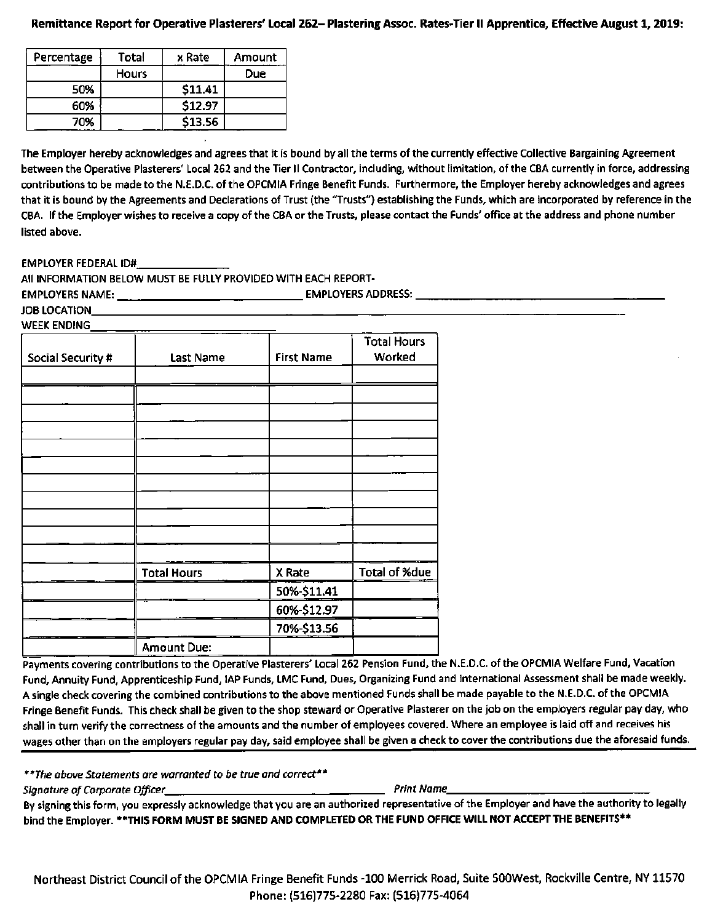## Remittance Report for Operative Plasterers' Local 262- Plastering Assoc. Rates-Tier II Apprentice, Effective August 1,2019:

| Percentage | <b>Total</b> | x Rate  | Amount     |
|------------|--------------|---------|------------|
|            | <b>Hours</b> |         | <b>Due</b> |
| 50%        |              | \$11.41 |            |
| 60%        |              | \$12.97 |            |
| 70%        |              | \$13.56 |            |

The Employer hereby acknowledges and agrees that it is bound by all the terms of the currently effective Collective Bargaining Agreement between the Operative Plasterers' Local 262 and the Tier II Contractor, including, without limitation, of the CBA currently in force, addressing contributions to be made to the N.E.D.C. of the OPCMIA Fringe Benefit Funds. Furthermore, the Employer hereby acknowledges and agrees that it is bound by the Agreements and Declarations of Trust (the "Trusts") establishing the Funds, which are incorporated by reference in the CBA. If the Employer wishes to receive a copy of the CBA or the Trusts, please contact the Funds' office at the address and phone number listed above.

EMPLOYER FEDERAL ID#

All INFORMATION BELOW MUST BE FULLY PROVIDED WITH EACH REPORT-EMPLOYERS NAME: EMPLOYERS ADDRESS:

JOB LOCATION WEEK ENDING

| Social Security # | Last Name          | <b>First Name</b> | <b>Total Hours</b><br>Worked |
|-------------------|--------------------|-------------------|------------------------------|
|                   |                    |                   |                              |
|                   |                    |                   |                              |
|                   |                    |                   |                              |
|                   |                    |                   |                              |
|                   |                    |                   |                              |
|                   |                    |                   |                              |
|                   |                    |                   |                              |
|                   |                    |                   |                              |
|                   |                    |                   |                              |
|                   |                    |                   |                              |
|                   |                    |                   |                              |
|                   | <b>Total Hours</b> | X Rate            | <b>Total of %due</b>         |
|                   |                    | 50%-\$11.41       |                              |
|                   |                    | 60%-\$12.97       |                              |
|                   |                    | 70%-\$13.56       |                              |
|                   | <b>Amount Due:</b> |                   |                              |

Payments covering contributions to the Operative Plasterers' Local 262 Pension Fund, the N.E.D.C. of the OPCMIA Welfare Fund, Vacation Fund, Annuity Fund, Apprenticeship Fund, lAP Funds, LMC Fund, Dues, Organizing Fund and International Assessment shall be made weekly. A single check covering the combined contributions to the above mentioned Funds shall be made payable to the N.E.D.C. of the OPCMIA Fringe Benefit Funds. This check shall be given to the shop steward or Operative Plasterer on the job on the employers regular pay day, who shall in turn verify the correctness of the amounts and the number of employees covered. Where an employee is laid off and receives his wages other than on the employers regular pay day, said employee shall be given a check to cover the contributions due the aforesaid funds.

\*\*The above Statements are warranted to be true and correct\*\*

Signature of Corporate Officer Print Name

By signing this form, you expressly acknowledge that you are an authorized representative of the Employer and have the authority to legally bind the Employer. \*\*THIS FORM MUST BE SIGNED AND COMPLETED OR THE FUND OFFICE WILL NOT ACCEPT THE BENEFITS\*\*

Northeast District Council of the OPCMIA Fringe Benefit Funds -100 Merrick Road, Suite SOOWest, Rockvllle Centre, NY 11570 Phone: (516)775-2280 Fax: (516)775-4064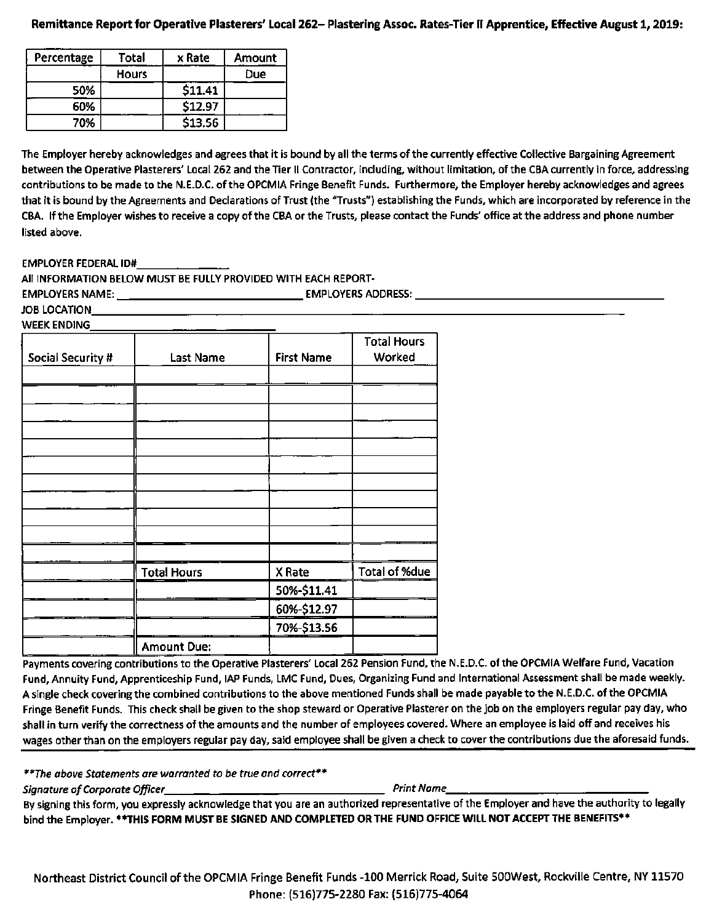## Remittance Report for Operative Plasterers' Local 262- Plastering Assoc. Rates-Tier II Apprentice, Effective August 1,2019:

| Percentage | Total        | x Rate  | Amount |
|------------|--------------|---------|--------|
|            | <b>Hours</b> |         | Due    |
| 50%        |              | \$11.41 |        |
| 60%        |              | \$12.97 |        |
| 70%        |              | \$13.56 |        |

The Employer hereby acknowledges and agrees that it is bound by all the terms of the currently effective Collective Bargaining Agreement between the Operative Plasterers' Local 262 and the Tier II Contractor, including, without limitation, of the CBA currently in force, addressing contributions to be made to the N.E.D.C. of the OPCMIA Fringe Benefit Funds. Furthermore, the Employer hereby acknowledges and agrees that it is bound by the Agreements and Declarations of Trust (the "Trusts") establishing the Funds, which are incorporated by reference in the CBA. If the Employer wishes to receive a copy of the CBA or the Trusts, please contact the Funds' office at the address and phone number listed above.

EMPLOYER FEDERAL ID#

All INFORMATION BELOW MUST BE FULLY PROVIDED WITH EACH REPORT-EMPLOYERS NAME: EMPLOYERS ADDRESS:

JOB LOCATION WEEK ENDING

| Social Security # | Last Name          | <b>First Name</b> | <b>Total Hours</b><br>Worked |
|-------------------|--------------------|-------------------|------------------------------|
|                   |                    |                   |                              |
|                   |                    |                   |                              |
|                   |                    |                   |                              |
|                   |                    |                   |                              |
|                   |                    |                   |                              |
|                   |                    |                   |                              |
|                   |                    |                   |                              |
|                   |                    |                   |                              |
|                   |                    |                   |                              |
|                   |                    |                   |                              |
|                   |                    |                   |                              |
|                   | <b>Total Hours</b> | X Rate            | Total of %due                |
|                   |                    | 50%-\$11.41       |                              |
|                   |                    | 60%-\$12.97       |                              |
|                   |                    | 70%-\$13.56       |                              |
|                   | <b>Amount Due:</b> |                   |                              |

Payments covering contributions to the Operative Plasterers' Local 262 Pension Fund, the N.E.D.C. of the OPCMIA Welfare Fund, Vacation Fund, Annuity Fund, Apprenticeship Fund, lAP Funds, LMC Fund, Dues, Organizing Fund and International Assessment shall be made weekly. A single check covering the combined contributions to the above mentioned Funds shall be made payable to the N.E.D.C. of the OPCMIA Fringe Benefit Funds. This check shall be given to the shop steward or Operative Plasterer on the job on the employers regular pay day, who shall in turn verify the correctness of the amounts and the number of employees covered. Where an employee is laid off and receives his wages other than on the employers regular pay day, said employee shall be given a check to cover the contributions due the aforesaid funds.

\*\*The above Statements are warranted to be true and correct\*\*

Signature of Corporate Officer Print Name

By signing this form, you expressly acknowledge that you are an authorized representative of the Employer and have the authority to legally bind the Employer. \*\*THIS FORM MUST BE SIGNED AND COMPLETED OR THE FUND OFFICE WILL NOT ACCEPT THE BENEFITS\*\*

Northeast District Council of the OPCMIA Fringe Benefit Funds -100 Merrick Road, Suite SOOWest, Rockville Centre, NY 11570 Phone: (516)775-2280 Fax: (516)775-4064